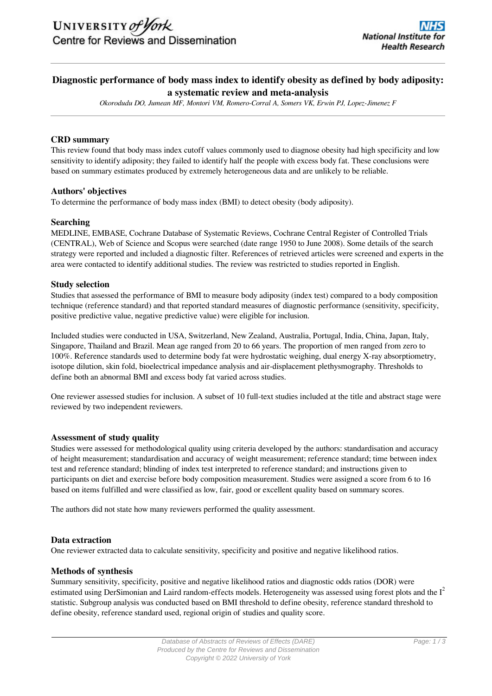# **Diagnostic performance of body mass index to identify obesity as defined by body adiposity: a systematic review and meta-analysis**

*Okorodudu DO, Jumean MF, Montori VM, Romero-Corral A, Somers VK, Erwin PJ, Lopez-Jimenez F*

# **CRD summary**

This review found that body mass index cutoff values commonly used to diagnose obesity had high specificity and low sensitivity to identify adiposity; they failed to identify half the people with excess body fat. These conclusions were based on summary estimates produced by extremely heterogeneous data and are unlikely to be reliable.

# **Authors' objectives**

To determine the performance of body mass index (BMI) to detect obesity (body adiposity).

# **Searching**

MEDLINE, EMBASE, Cochrane Database of Systematic Reviews, Cochrane Central Register of Controlled Trials (CENTRAL), Web of Science and Scopus were searched (date range 1950 to June 2008). Some details of the search strategy were reported and included a diagnostic filter. References of retrieved articles were screened and experts in the area were contacted to identify additional studies. The review was restricted to studies reported in English.

# **Study selection**

Studies that assessed the performance of BMI to measure body adiposity (index test) compared to a body composition technique (reference standard) and that reported standard measures of diagnostic performance (sensitivity, specificity, positive predictive value, negative predictive value) were eligible for inclusion.

Included studies were conducted in USA, Switzerland, New Zealand, Australia, Portugal, India, China, Japan, Italy, Singapore, Thailand and Brazil. Mean age ranged from 20 to 66 years. The proportion of men ranged from zero to 100%. Reference standards used to determine body fat were hydrostatic weighing, dual energy X-ray absorptiometry, isotope dilution, skin fold, bioelectrical impedance analysis and air-displacement plethysmography. Thresholds to define both an abnormal BMI and excess body fat varied across studies.

One reviewer assessed studies for inclusion. A subset of 10 full-text studies included at the title and abstract stage were reviewed by two independent reviewers.

# **Assessment of study quality**

Studies were assessed for methodological quality using criteria developed by the authors: standardisation and accuracy of height measurement; standardisation and accuracy of weight measurement; reference standard; time between index test and reference standard; blinding of index test interpreted to reference standard; and instructions given to participants on diet and exercise before body composition measurement. Studies were assigned a score from 6 to 16 based on items fulfilled and were classified as low, fair, good or excellent quality based on summary scores.

The authors did not state how many reviewers performed the quality assessment.

# **Data extraction**

One reviewer extracted data to calculate sensitivity, specificity and positive and negative likelihood ratios.

# **Methods of synthesis**

Summary sensitivity, specificity, positive and negative likelihood ratios and diagnostic odds ratios (DOR) were estimated using DerSimonian and Laird random-effects models. Heterogeneity was assessed using forest plots and the  $I<sup>2</sup>$ statistic. Subgroup analysis was conducted based on BMI threshold to define obesity, reference standard threshold to define obesity, reference standard used, regional origin of studies and quality score.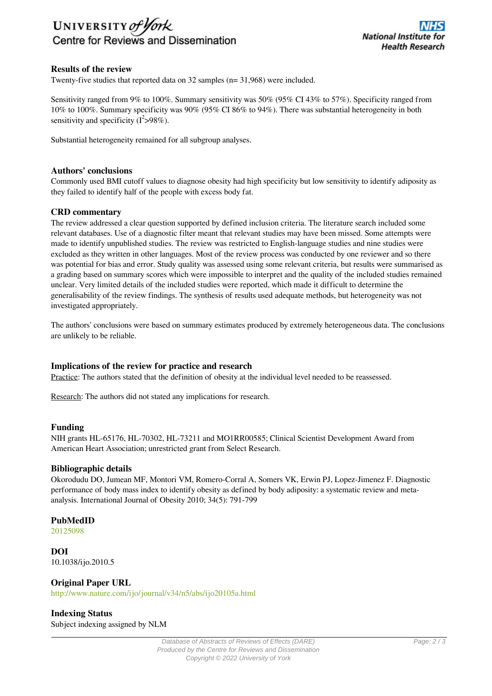

# **Results of the review**

Twenty-five studies that reported data on 32 samples (n= 31,968) were included.

Sensitivity ranged from 9% to 100%. Summary sensitivity was 50% (95% CI 43% to 57%). Specificity ranged from 10% to 100%. Summary specificity was 90% (95% CI 86% to 94%). There was substantial heterogeneity in both sensitivity and specificity  $(I^2 > 98\%)$ .

Substantial heterogeneity remained for all subgroup analyses.

#### **Authors' conclusions**

Commonly used BMI cutoff values to diagnose obesity had high specificity but low sensitivity to identify adiposity as they failed to identify half of the people with excess body fat.

#### **CRD commentary**

The review addressed a clear question supported by defined inclusion criteria. The literature search included some relevant databases. Use of a diagnostic filter meant that relevant studies may have been missed. Some attempts were made to identify unpublished studies. The review was restricted to English-language studies and nine studies were excluded as they written in other languages. Most of the review process was conducted by one reviewer and so there was potential for bias and error. Study quality was assessed using some relevant criteria, but results were summarised as a grading based on summary scores which were impossible to interpret and the quality of the included studies remained unclear. Very limited details of the included studies were reported, which made it difficult to determine the generalisability of the review findings. The synthesis of results used adequate methods, but heterogeneity was not investigated appropriately.

The authors' conclusions were based on summary estimates produced by extremely heterogeneous data. The conclusions are unlikely to be reliable.

#### **Implications of the review for practice and research**

Practice: The authors stated that the definition of obesity at the individual level needed to be reassessed.

Research: The authors did not stated any implications for research.

#### **Funding**

NIH grants HL-65176, HL-70302, HL-73211 and MO1RR00585; Clinical Scientist Development Award from American Heart Association; unrestricted grant from Select Research.

#### **Bibliographic details**

Okorodudu DO, Jumean MF, Montori VM, Romero-Corral A, Somers VK, Erwin PJ, Lopez-Jimenez F. Diagnostic performance of body mass index to identify obesity as defined by body adiposity: a systematic review and metaanalysis. International Journal of Obesity 2010; 34(5): 791-799

# **PubMedID**

[20125098](http://www.ncbi.nlm.nih.gov/pubmed?term=20125098)

**DOI** 10.1038/ijo.2010.5

**Original Paper URL** http://www.nature.com/ijo/journal/v34/n5/abs/ijo20105a.html

**Indexing Status** Subject indexing assigned by NLM